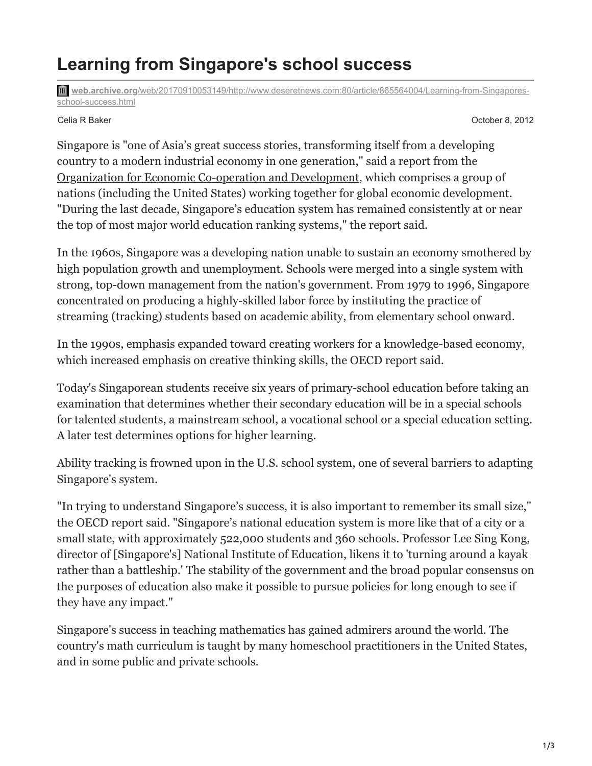## **Learning from Singapore's school success**

**web.archive.org**[/web/20170910053149/http://www.deseretnews.com:80/article/865564004/Learning-from-Singapores](https://web.archive.org/web/20170910053149/http://www.deseretnews.com:80/article/865564004/Learning-from-Singapores-school-success.html)school-success.html

Celia R Baker October 8, 2012

Singapore is "one of Asia's great success stories, transforming itself from a developing country to a modern industrial economy in one generation," said a report from the [Organization for Economic Co-operation and Development,](https://web.archive.org/web/20170910053149/http://www.oecd.org/countries/singapore/46581101.pdf) which comprises a group of nations (including the United States) working together for global economic development. "During the last decade, Singapore's education system has remained consistently at or near the top of most major world education ranking systems," the report said.

In the 1960s, Singapore was a developing nation unable to sustain an economy smothered by high population growth and unemployment. Schools were merged into a single system with strong, top-down management from the nation's government. From 1979 to 1996, Singapore concentrated on producing a highly-skilled labor force by instituting the practice of streaming (tracking) students based on academic ability, from elementary school onward.

In the 1990s, emphasis expanded toward creating workers for a knowledge-based economy, which increased emphasis on creative thinking skills, the OECD report said.

Today's Singaporean students receive six years of primary-school education before taking an examination that determines whether their secondary education will be in a special schools for talented students, a mainstream school, a vocational school or a special education setting. A later test determines options for higher learning.

Ability tracking is frowned upon in the U.S. school system, one of several barriers to adapting Singapore's system.

"In trying to understand Singapore's success, it is also important to remember its small size," the OECD report said. "Singapore's national education system is more like that of a city or a small state, with approximately 522,000 students and 360 schools. Professor Lee Sing Kong, director of [Singapore's] National Institute of Education, likens it to 'turning around a kayak rather than a battleship.' The stability of the government and the broad popular consensus on the purposes of education also make it possible to pursue policies for long enough to see if they have any impact."

Singapore's success in teaching mathematics has gained admirers around the world. The country's math curriculum is taught by many homeschool practitioners in the United States, and in some public and private schools.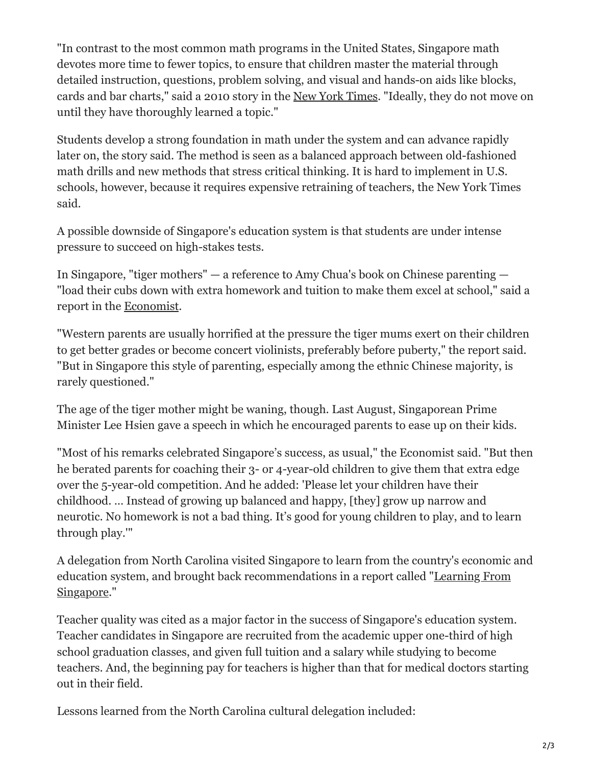"In contrast to the most common math programs in the United States, Singapore math devotes more time to fewer topics, to ensure that children master the material through detailed instruction, questions, problem solving, and visual and hands-on aids like blocks, cards and bar charts," said a 2010 story in the [New York Times.](https://web.archive.org/web/20170910053149/http://www.nytimes.com/2010/10/01/education/01math.html) "Ideally, they do not move on until they have thoroughly learned a topic."

Students develop a strong foundation in math under the system and can advance rapidly later on, the story said. The method is seen as a balanced approach between old-fashioned math drills and new methods that stress critical thinking. It is hard to implement in U.S. schools, however, because it requires expensive retraining of teachers, the New York Times said.

A possible downside of Singapore's education system is that students are under intense pressure to succeed on high-stakes tests.

In Singapore, "tiger mothers" — a reference to Amy Chua's book on Chinese parenting — "load their cubs down with extra homework and tuition to make them excel at school," said a report in the [Economist](https://web.archive.org/web/20170910053149/http://www.economist.com/node/21563354).

"Western parents are usually horrified at the pressure the tiger mums exert on their children to get better grades or become concert violinists, preferably before puberty," the report said. "But in Singapore this style of parenting, especially among the ethnic Chinese majority, is rarely questioned."

The age of the tiger mother might be waning, though. Last August, Singaporean Prime Minister Lee Hsien gave a speech in which he encouraged parents to ease up on their kids.

"Most of his remarks celebrated Singapore's success, as usual," the Economist said. "But then he berated parents for coaching their 3- or 4-year-old children to give them that extra edge over the 5-year-old competition. And he added: 'Please let your children have their childhood. … Instead of growing up balanced and happy, [they] grow up narrow and neurotic. No homework is not a bad thing. It's good for young children to play, and to learn through play.'"

A delegation from North Carolina visited Singapore to learn from the country's economic and [education system, and brought back recommendations in a report called "Learning From](https://web.archive.org/web/20170910053149/http://ciu.northcarolina.edu/wp-content/uploads/2010/06/Learning-From-Singapore.pdf) Singapore."

Teacher quality was cited as a major factor in the success of Singapore's education system. Teacher candidates in Singapore are recruited from the academic upper one-third of high school graduation classes, and given full tuition and a salary while studying to become teachers. And, the beginning pay for teachers is higher than that for medical doctors starting out in their field.

Lessons learned from the North Carolina cultural delegation included: